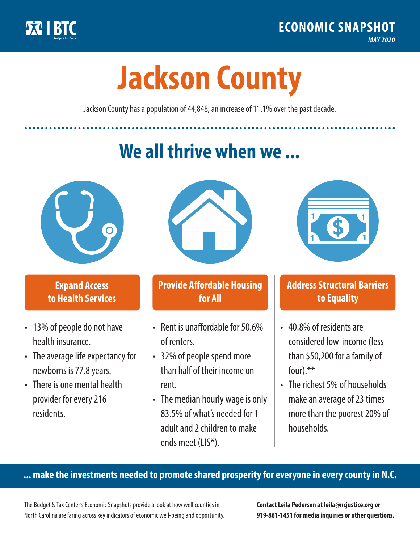

**1**

# **Jackson County**

Jackson County has a population of 44,848, an increase of 11.1% over the past decade.

# **We all thrive when we ...**



**\$ <sup>1</sup>**

**\$ <sup>1</sup>**

#### **Expand Access to Health Services**

- 13% of people do not have health insurance.
- The average life expectancy for newborns is 77.8 years.
- There is one mental health provider for every 216 residents.



## **Provide Affordable Housing for All**

- Rent is unaffordable for 50.6% of renters.
- 32% of people spend more than half of their income on rent.
- The median hourly wage is only 83.5% of what's needed for 1 adult and 2 children to make ends meet (LIS\*).



## **Address Structural Barriers to Equality**

- 40.8% of residents are considered low-income (less than \$50,200 for a family of four).\*\*
- The richest 5% of households make an average of 23 times more than the poorest 20% of households.

#### **... make the investments needed to promote shared prosperity for everyone in every county in N.C.**

The Budget & Tax Center's Economic Snapshots provide a look at how well counties in North Carolina are faring across key indicators of economic well-being and opportunity.